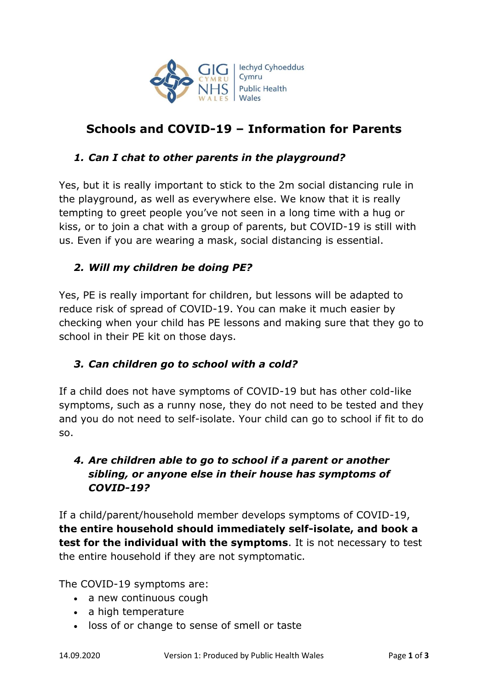

# **Schools and COVID-19 – Information for Parents**

#### *1. Can I chat to other parents in the playground?*

Yes, but it is really important to stick to the 2m social distancing rule in the playground, as well as everywhere else. We know that it is really tempting to greet people you've not seen in a long time with a hug or kiss, or to join a chat with a group of parents, but COVID-19 is still with us. Even if you are wearing a mask, social distancing is essential.

#### *2. Will my children be doing PE?*

Yes, PE is really important for children, but lessons will be adapted to reduce risk of spread of COVID-19. You can make it much easier by checking when your child has PE lessons and making sure that they go to school in their PE kit on those days.

#### *3. Can children go to school with a cold?*

If a child does not have symptoms of COVID-19 but has other cold-like symptoms, such as a runny nose, they do not need to be tested and they and you do not need to self-isolate. Your child can go to school if fit to do so.

## *4. Are children able to go to school if a parent or another sibling, or anyone else in their house has symptoms of COVID-19?*

If a child/parent/household member develops symptoms of COVID-19, **the entire household should immediately self-isolate, and book a test for the individual with the symptoms**. It is not necessary to test the entire household if they are not symptomatic.

The COVID-19 symptoms are:

- a new continuous cough
- a high temperature
- loss of or change to sense of smell or taste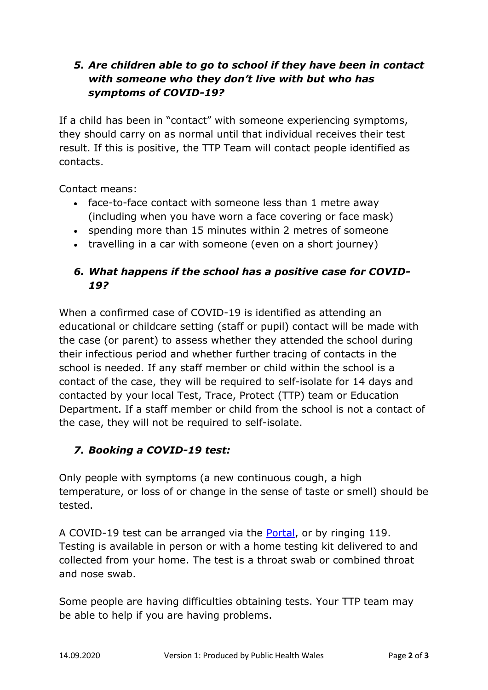## *5. Are children able to go to school if they have been in contact with someone who they don't live with but who has symptoms of COVID-19?*

If a child has been in "contact" with someone experiencing symptoms, they should carry on as normal until that individual receives their test result. If this is positive, the TTP Team will contact people identified as contacts.

Contact means:

- face-to-face contact with someone less than 1 metre away (including when you have worn a face covering or face mask)
- spending more than 15 minutes within 2 metres of someone
- travelling in a car with someone (even on a short journey)

#### *6. What happens if the school has a positive case for COVID-19?*

When a confirmed case of COVID-19 is identified as attending an educational or childcare setting (staff or pupil) contact will be made with the case (or parent) to assess whether they attended the school during their infectious period and whether further tracing of contacts in the school is needed. If any staff member or child within the school is a contact of the case, they will be required to self-isolate for 14 days and contacted by your local Test, Trace, Protect (TTP) team or Education Department. If a staff member or child from the school is not a contact of the case, they will not be required to self-isolate.

## *7. Booking a COVID-19 test:*

Only people with symptoms (a new continuous cough, a high temperature, or loss of or change in the sense of taste or smell) should be tested.

A COVID-19 test can be arranged via the [Portal,](https://gov.wales/apply-coronavirus-test) or by ringing 119. Testing is available in person or with a home testing kit delivered to and collected from your home. The test is a throat swab or combined throat and nose swab.

Some people are having difficulties obtaining tests. Your TTP team may be able to help if you are having problems.